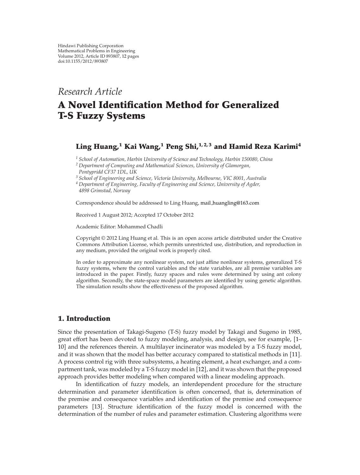# *Research Article*

# **A Novel Identification Method for Generalized T-S Fuzzy Systems**

# **Ling Huang,1 Kai Wang,1 Peng Shi,1, 2, 3 and Hamid Reza Karimi<sup>4</sup>**

*<sup>1</sup> School of Automation, Harbin University of Science and Technology, Harbin 150080, China*

*<sup>3</sup> School of Engineering and Science, Victoria University, Melbourne, VIC 8001, Australia*

*<sup>4</sup> Department of Engineering, Faculty of Engineering and Science, University of Agder, 4898 Grimstad, Norway*

Correspondence should be addressed to Ling Huang, mail huangling@163.com

Received 1 August 2012; Accepted 17 October 2012

Academic Editor: Mohammed Chadli

Copyright © 2012 Ling Huang et al. This is an open access article distributed under the Creative Commons Attribution License, which permits unrestricted use, distribution, and reproduction in any medium, provided the original work is properly cited.

In order to approximate any nonlinear system, not just affine nonlinear systems, generalized T-S fuzzy systems, where the control variables and the state variables, are all premise variables are introduced in the paper. Firstly, fuzzy spaces and rules were determined by using ant colony algorithm. Secondly, the state-space model parameters are identified by using genetic algorithm. The simulation results show the effectiveness of the proposed algorithm.

# **1. Introduction**

Since the presentation of Takagi-Sugeno T-S fuzzy model by Takagi and Sugeno in 1985, great effort has been devoted to fuzzy modeling, analysis, and design, see for example, 1– 10 and the references therein. A multilayer incinerator was modeled by a T-S fuzzy model, and it was shown that the model has better accuracy compared to statistical methods in [11]. A process control rig with three subsystems, a heating element, a heat exchanger, and a compartment tank, was modeled by a T-S fuzzy model in [12], and it was shown that the proposed approach provides better modeling when compared with a linear modeling approach.

In identification of fuzzy models, an interdependent procedure for the structure determination and parameter identification is often concerned, that is, determination of the premise and consequence variables and identification of the premise and consequence parameters [13]. Structure identification of the fuzzy model is concerned with the determination of the number of rules and parameter estimation. Clustering algorithms were

*<sup>2</sup> Department of Computing and Mathematical Sciences, University of Glamorgan, Pontypridd CF37 1DL, UK*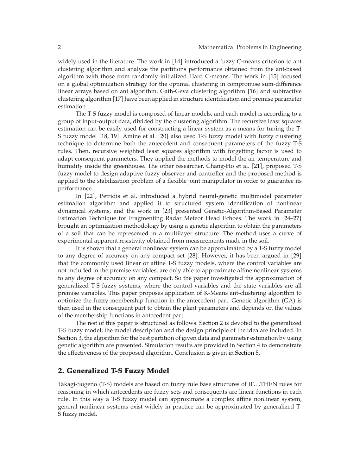widely used in the literature. The work in [14] introduced a fuzzy C-means criterion to ant clustering algorithm and analyze the partitions performance obtained from the ant-based algorithm with those from randomly initialized Hard C-means. The work in [15] focused on a global optimization strategy for the optimal clustering in compromise sum-difference linear arrays based on ant algorithm. Gath-Geva clustering algorithm [16] and subtractive clustering algorithm 17 have been applied in structure identification and premise parameter estimation.

The T-S fuzzy model is composed of linear models, and each model is according to a group of input-output data, divided by the clustering algorithm. The recursive least squares estimation can be easily used for constructing a linear system as a means for tuning the T-S fuzzy model [18, 19]. Amine et al. [20] also used T-S fuzzy model with fuzzy clustering technique to determine both the antecedent and consequent parameters of the fuzzy T-S rules. Then, recursive weighted least squares algorithm with forgetting factor is used to adapt consequent parameters. They applied the methods to model the air temperature and humidity inside the greenhouse. The other researcher, Chang-Ho et al. [21], proposed T-S fuzzy model to design adaptive fuzzy observer and controller and the proposed method is applied to the stabilization problem of a flexible joint manipulator in order to guarantee its performance.

In 22, Petridis et al. introduced a hybrid neural-genetic multimodel parameter estimation algorithm and applied it to structured system identification of nonlinear dynamical systems, and the work in 23 presented Genetic-Algorithm-Based Parameter Estimation Technique for Fragmenting Radar Meteor Head Echoes. The work in [24–27] brought an optimization methodology by using a genetic algorithm to obtain the parameters of a soil that can be represented in a multilayer structure. The method uses a curve of experimental apparent resistivity obtained from measurements made in the soil.

It is shown that a general nonlinear system can be approximated by a T-S fuzzy model to any degree of accuracy on any compact set [28]. However, it has been argued in [29] that the commonly used linear or affine T-S fuzzy models, where the control variables are not included in the premise variables, are only able to approximate affine nonlinear systems to any degree of accuracy on any compact. So the paper investigated the approximation of generalized T-S fuzzy systems, where the control variables and the state variables are all premise variables. This paper proposes application of K-Means ant-clustering algorithm to optimize the fuzzy membership function in the antecedent part. Genetic algorithm (GA) is then used in the consequent part to obtain the plant parameters and depends on the values of the membership functions in antecedent part.

The rest of this paper is structured as follows. Section 2 is devoted to the generalized T-S fuzzy model; the model description and the design principle of the idea are included. In Section 3, the algorithm for the best partition of given data and parameter estimation by using genetic algorithm are presented. Simulation results are provided in Section 4 to demonstrate the effectiveness of the proposed algorithm. Conclusion is given in Section 5.

## **2. Generalized T-S Fuzzy Model**

Takagi-Sugeno T-S models are based on fuzzy rule base structures of IF*...*THEN rules for reasoning in which antecedents are fuzzy sets and consequents are linear functions in each rule. In this way a T-S fuzzy model can approximate a complex affine nonlinear system, general nonlinear systems exist widely in practice can be approximated by generalized T-S fuzzy model.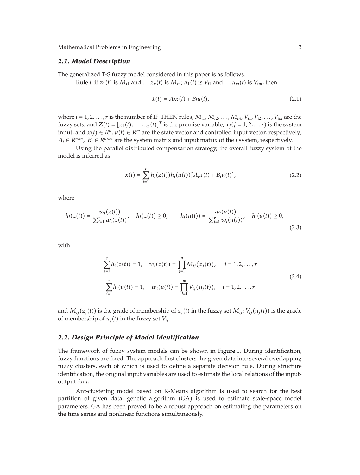#### *2.1. Model Description*

The generalized T-S fuzzy model considered in this paper is as follows.

Rule *i*: if  $z_1(t)$  is  $M_{i1}$  and  $\ldots z_n(t)$  is  $M_{in}$ ;  $u_1(t)$  is  $V_{i1}$  and  $\ldots u_m(t)$  is  $V_{im}$ , then

$$
\dot{x}(t) = A_i x(t) + B_i u(t), \qquad (2.1)
$$

where  $i = 1, 2, \ldots, r$  is the number of IF-THEN rules,  $M_{i1}, M_{i2}, \ldots, M_{in}, V_{i1}, V_{i2}, \ldots, V_{im}$  are the fuzzy sets, and  $Z(t) = [z_1(t),...,z_n(t)]^T$  is the premise variable;  $x_j$  ( $j = 1, 2, ... r$ ) is the system input, and  $x(t)$  ∈  $R^n$ ,  $u(t)$  ∈  $R^m$  are the state vector and controlled input vector, respectively;  $A_i \in R^{n \times n}$ ,  $B_i \in R^{n \times m}$  are the system matrix and input matrix of the *i* system, respectively.

Using the parallel distributed compensation strategy, the overall fuzzy system of the model is inferred as

$$
\dot{x}(t) = \sum_{i=1}^{r} h_i(z(t))h_i(u(t)) [A_i x(t) + B_i u(t)], \qquad (2.2)
$$

where

$$
h_i(z(t)) = \frac{w_i(z(t))}{\sum_{i=1}^r w_i(z(t))}, \quad h_i(z(t)) \ge 0, \qquad h_i(u(t)) = \frac{w_i(u(t))}{\sum_{i=1}^r w_i(u(t))}, \quad h_i(u(t)) \ge 0,
$$
\n(2.3)

with

$$
\sum_{i=1}^{r} h_i(z(t)) = 1, \quad w_i(z(t)) = \prod_{j=1}^{n} M_{ij}(z_j(t)), \quad i = 1, 2, ..., r
$$
\n
$$
\sum_{i=1}^{r} h_i(u(t)) = 1, \quad w_i(u(t)) = \prod_{j=1}^{m} V_{ij}(u_j(t)), \quad i = 1, 2, ..., r
$$
\n(2.4)

and  $M_{ii}(z_i(t))$  is the grade of membership of  $z_i(t)$  in the fuzzy set  $M_{ii}$ ;  $V_{ii}(u_i(t))$  is the grade of membership of  $u_j(t)$  in the fuzzy set  $V_{ij}$ .

#### *2.2. Design Principle of Model Identification*

The framework of fuzzy system models can be shown in Figure 1. During identification, fuzzy functions are fixed. The approach first clusters the given data into several overlapping fuzzy clusters, each of which is used to define a separate decision rule. During structure identification, the original input variables are used to estimate the local relations of the inputoutput data.

Ant-clustering model based on K-Means algorithm is used to search for the best partition of given data; genetic algorithm (GA) is used to estimate state-space model parameters. GA has been proved to be a robust approach on estimating the parameters on the time series and nonlinear functions simultaneously.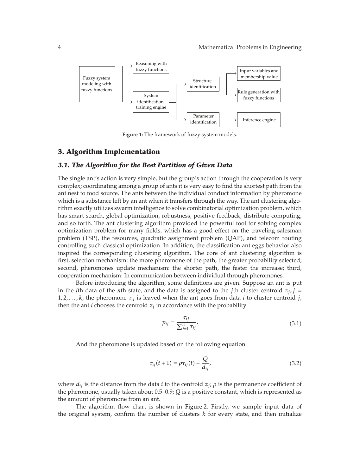

**Figure 1:** The framework of fuzzy system models.

### **3. Algorithm Implementation**

#### *3.1. The Algorithm for the Best Partition of Given Data*

The single ant's action is very simple, but the group's action through the cooperation is very complex; coordinating among a group of ants it is very easy to find the shortest path from the ant nest to food source. The ants between the individual conduct information by pheromone which is a substance left by an ant when it transfers through the way. The ant clustering algorithm exactly utilizes swarm intelligence to solve combinatorial optimization problem, which has smart search, global optimization, robustness, positive feedback, distribute computing, and so forth. The ant clustering algorithm provided the powerful tool for solving complex optimization problem for many fields, which has a good effect on the traveling salesman problem TSP, the resources, quadratic assignment problem QAP, and telecom routing controlling such classical optimization. In addition, the classification ant eggs behavior also inspired the corresponding clustering algorithm. The core of ant clustering algorithm is first, selection mechanism: the more pheromone of the path, the greater probability selected; second, pheromones update mechanism: the shorter path, the faster the increase; third, cooperation mechanism: In communication between individual through pheromones.

Before introducing the algorithm, some definitions are given. Suppose an ant is put in the *i*th data of the *n*th state, and the data is assigned to the *j*th cluster centroid  $z_i$ , *j* = 1*,* 2*,...,k*, the pheromone *τij* is leaved when the ant goes from data *i* to cluster centroid *j*, then the ant *i* chooses the centroid  $z_i$  in accordance with the probability

$$
p_{ij} = \frac{\tau_{ij}}{\sum_{j=1}^{n} \tau_{ij}}.
$$
\n(3.1)

And the pheromone is updated based on the following equation:

$$
\tau_{ij}(t+1) = \rho \tau_{ij}(t) + \frac{Q}{d_{ij}}, \qquad (3.2)
$$

where  $d_{ij}$  is the distance from the data *i* to the centroid  $z_j$ ;  $\rho$  is the permanence coefficient of the pheromone, usually taken about 0.5–0.9; *Q* is a positive constant, which is represented as the amount of pheromone from an ant.

The algorithm flow chart is shown in Figure 2. Firstly, we sample input data of the original system, confirm the number of clusters  $k$  for every state, and then initialize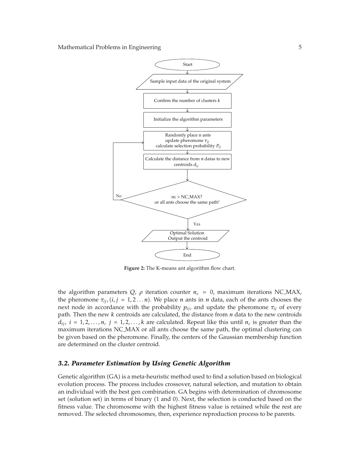

**Figure 2:** The K-means ant algorithm flow chart.

the algorithm parameters  $Q$ ,  $\rho$  iteration counter  $n_c = 0$ , maximum iterations NC\_MAX, the pheromone  $\tau_{ij}$ ,  $(i, j = 1, 2...n)$ . We place *n* ants in *n* data, each of the ants chooses the next node in accordance with the probability  $p_{ij}$ , and update the pheromone  $\tau_{ij}$  of every path. Then the new *k* centroids are calculated, the distance from *n* data to the new centroids  $d_{ij}$ ,  $i = 1, 2, \ldots, n$ ,  $j = 1, 2, \ldots, k$  are calculated. Repeat like this until  $n_c$  is greater than the maximum iterations NC MAX or all ants choose the same path, the optimal clustering can be given based on the pheromone. Finally, the centers of the Gaussian membership function are determined on the cluster centroid.

#### *3.2. Parameter Estimation by Using Genetic Algorithm*

Genetic algorithm (GA) is a meta-heuristic method used to find a solution based on biological evolution process. The process includes crossover, natural selection, and mutation to obtain an individual with the best gen combination. GA begins with determination of chromosome set (solution set) in terms of binary (1 and 0). Next, the selection is conducted based on the fitness value. The chromosome with the highest fitness value is retained while the rest are removed. The selected chromosomes, then, experience reproduction process to be parents.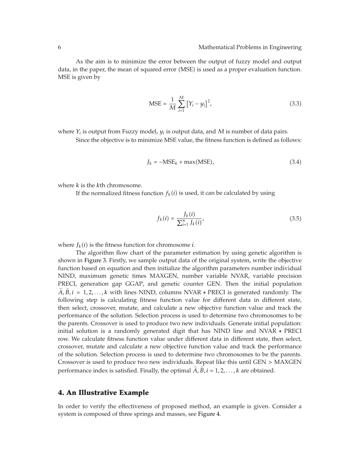As the aim is to minimize the error between the output of fuzzy model and output data, in the paper, the mean of squared error (MSE) is used as a proper evaluation function. MSE is given by

$$
MSE = \frac{1}{M} \sum_{i=1}^{M} [Y_i - y_i]^2,
$$
\n(3.3)

where  $Y_i$  is output from Fuzzy model,  $y_i$  is output data, and  $M$  is number of data pairs.

Since the objective is to minimize MSE value, the fitness function is defined as follows:

$$
J_k = -MSE_k + \max(MSE), \qquad (3.4)
$$

where *k* is the *k*th chromosome.

If the normalized fitness function  $f_k(i)$  is used, it can be calculated by using

$$
f_k(i) = \frac{J_k(i)}{\sum_{i=1}^n J_k(i)},
$$
\n(3.5)

where  $J_k(i)$  is the fitness function for chromosome *i*.

The algorithm flow chart of the parameter estimation by using genetic algorithm is shown in Figure 3. Firstly, we sample output data of the original system, write the objective function based on equation and then initialize the algorithm parameters number individual NIND, maximum genetic times MAXGEN, number variable NVAR, variable precision PRECI, generation gap GGAP, and genetic counter GEN. Then the initial population  $\hat{A}$ ,  $\hat{B}$ , *i* = 1,2,..., *k* with lines NIND, columns NVAR  $*$  PRECI is generated randomly. The following step is calculating fitness function value for different data in different state, then select, crossover, mutate, and calculate a new objective function value and track the performance of the solution. Selection process is used to determine two chromosomes to be the parents. Crossover is used to produce two new individuals. Generate initial population: initial solution is a randomly generated digit that has NIND line and NVAR ∗ PRECI row. We calculate fitness function value under different data in different state, then select, crossover, mutate and calculate a new objective function value and track the performance of the solution. Selection process is used to determine two chromosomes to be the parents. Crossover is used to produce two new individuals. Repeat like this until GEN *>* MAXGEN performance index is satisfied. Finally, the optimal  $\hat{A}$ ,  $\hat{B}$ ,  $i = 1, 2, ..., k$  are obtained.

#### **4. An Illustrative Example**

In order to verify the effectiveness of proposed method, an example is given. Consider a system is composed of three springs and masses, see Figure 4.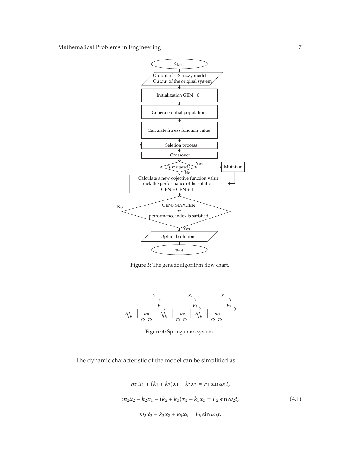

**Figure 3:** The genetic algorithm flow chart.



**Figure 4:** Spring mass system.

The dynamic characteristic of the model can be simplified as

$$
m_1\ddot{x}_1 + (k_1 + k_2)x_1 - k_2x_2 = F_1 \sin \omega_1 t,
$$
  
\n
$$
m_2\ddot{x}_2 - k_2x_1 + (k_2 + k_3)x_2 - k_3x_3 = F_2 \sin \omega_2 t,
$$
  
\n
$$
m_3\ddot{x}_3 - k_3x_2 + k_3x_3 = F_3 \sin \omega_3 t.
$$
\n(4.1)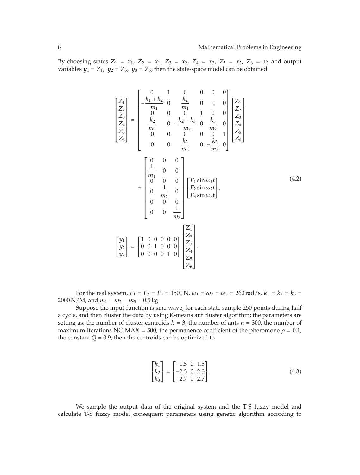By choosing states  $Z_1 = x_1$ ,  $Z_2 = x_1$ ,  $Z_3 = x_2$ ,  $Z_4 = x_2$ ,  $Z_5 = x_3$ ,  $Z_6 = x_3$  and output variables  $y_1 = Z_1$ ,  $y_2 = Z_3$ ,  $y_3 = Z_5$ , then the state-space model can be obtained:

$$
\begin{bmatrix} \dot{Z}_{1} \\ \dot{Z}_{2} \\ \dot{Z}_{3} \\ \dot{Z}_{4} \\ \dot{Z}_{5} \\ \dot{Z}_{6} \end{bmatrix} = \begin{bmatrix} 0 & 1 & 0 & 0 & 0 & 0 \\ -\frac{k_{1} + k_{2}}{m_{1}} & 0 & \frac{k_{2}}{m_{1}} & 0 & 0 & 0 \\ 0 & 0 & 0 & 1 & 0 & 0 \\ \frac{k_{2}}{m_{2}} & 0 & -\frac{k_{2} + k_{3}}{m_{2}} & 0 & \frac{k_{3}}{m_{2}} & 0 \\ 0 & 0 & 0 & 0 & 0 & 1 \\ 0 & 0 & \frac{k_{3}}{m_{3}} & 0 & -\frac{k_{3}}{m_{3}} & 0 \end{bmatrix} \begin{bmatrix} Z_{1} \\ Z_{2} \\ Z_{3} \\ Z_{4} \\ Z_{5} \\ Z_{6} \end{bmatrix}
$$

$$
+ \begin{bmatrix} 0 & 0 & 0 \\ \frac{1}{m_{1}} & 0 & 0 \\ 0 & \frac{1}{m_{2}} & 0 \\ 0 & \frac{1}{m_{2}} & 0 \\ 0 & 0 & 0 \\ 0 & 0 & \frac{1}{m_{3}} \end{bmatrix} \begin{bmatrix} F_{1} \sin \omega_{1}t \\ F_{2} \sin \omega_{2}t \\ F_{3} \sin \omega_{3}t \end{bmatrix}, \qquad (4.2)
$$

$$
\begin{bmatrix} y_{1} \\ y_{2} \\ y_{3} \end{bmatrix} = \begin{bmatrix} 1 & 0 & 0 & 0 & 0 \\ 0 & 0 & 1 & 0 & 0 \\ 0 & 0 & 0 & 0 & 1 \\ 0 & 0 & 0 & 0 & 1 \\ 0 & 0 & 0 & 0 & 1 \end{bmatrix} \begin{bmatrix} Z_{1} \\ Z_{2} \\ Z_{3} \\ Z_{4} \\ Z_{5} \\ Z_{6} \end{bmatrix}.
$$

For the real system,  $F_1 = F_2 = F_3 = 1500 \text{ N}$ ,  $\omega_1 = \omega_2 = \omega_3 = 260 \text{ rad/s}$ ,  $k_1 = k_2 = k_3 = 1500 \text{ N}$  $2000 \text{ N/M}$ , and  $m_1 = m_2 = m_3 = 0.5 \text{ kg}$ .

Suppose the input function is sine wave, for each state sample 250 points during half a cycle, and then cluster the data by using K-means ant cluster algorithm; the parameters are setting as: the number of cluster centroids  $k = 3$ , the number of ants  $n = 300$ , the number of maximum iterations NC MAX = 500, the permanence coefficient of the pheromone  $\rho = 0.1$ , the constant  $Q = 0.9$ , then the centroids can be optimized to

$$
\begin{bmatrix} k_1 \\ k_2 \\ k_3 \end{bmatrix} = \begin{bmatrix} -1.5 & 0 & 1.5 \\ -2.3 & 0 & 2.3 \\ -2.7 & 0 & 2.7 \end{bmatrix} . \tag{4.3}
$$

We sample the output data of the original system and the T-S fuzzy model and calculate T-S fuzzy model consequent parameters using genetic algorithm according to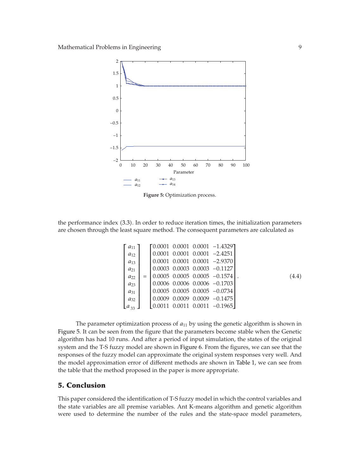

**Figure 5:** Optimization process.

the performance index 3.3. In order to reduce iteration times, the initialization parameters are chosen through the least square method. The consequent parameters are calculated as

$$
\begin{bmatrix}\na_{11} \\
a_{12} \\
a_{13} \\
a_{21} \\
a_{22} \\
a_{23} \\
a_{31} \\
a_{32}\n\end{bmatrix}\n=\n\begin{bmatrix}\n0.0001 & 0.0001 & 0.0001 & -1.4329 \\
0.0001 & 0.0001 & 0.0001 & -2.4251 \\
0.0001 & 0.0001 & 0.0001 & -2.9370 \\
0.0003 & 0.0003 & 0.0003 & -0.1127 \\
0.0005 & 0.0005 & 0.0005 & -0.1574 \\
0.0006 & 0.0006 & 0.0006 & -0.1703 \\
0.0005 & 0.0005 & 0.0005 & -0.0734 \\
0.0009 & 0.0009 & 0.0009 & -0.1475 \\
0.0011 & 0.0011 & 0.0011 & -0.1965\n\end{bmatrix}.
$$
\n(4.4)

The parameter optimization process of  $a_{11}$  by using the genetic algorithm is shown in Figure 5. It can be seen from the figure that the parameters become stable when the Genetic algorithm has had 10 runs. And after a period of input simulation, the states of the original system and the T-S fuzzy model are shown in Figure 6. From the figures, we can see that the responses of the fuzzy model can approximate the original system responses very well. And the model approximation error of different methods are shown in Table 1, we can see from the table that the method proposed in the paper is more appropriate.

# **5. Conclusion**

This paper considered the identification of T-S fuzzy model in which the control variables and the state variables are all premise variables. Ant K-means algorithm and genetic algorithm were used to determine the number of the rules and the state-space model parameters,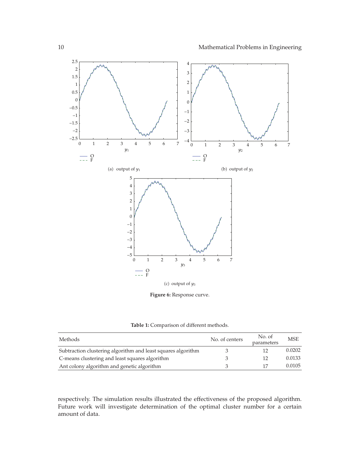

**Table 1:** Comparison of different methods.

| Methods                                                      | No. of centers | No. of<br>parameters | <b>MSE</b> |
|--------------------------------------------------------------|----------------|----------------------|------------|
| Subtraction clustering algorithm and least squares algorithm |                | 12                   | 0.0202     |
| C-means clustering and least squares algorithm               |                | 12                   | 0.0133     |
| Ant colony algorithm and genetic algorithm                   |                | 17                   | 0.0105     |

respectively. The simulation results illustrated the effectiveness of the proposed algorithm. Future work will investigate determination of the optimal cluster number for a certain amount of data.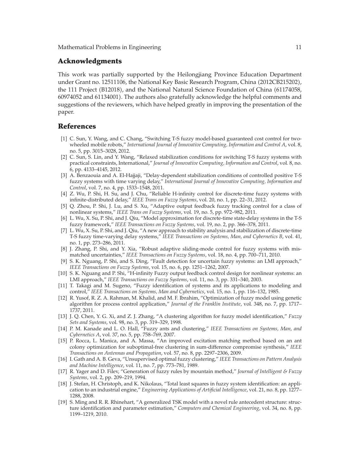## **Acknowledgments**

This work was partially supported by the Heilongjiang Province Education Department under Grant no. 12511106, the National Key Basic Research Program, China 2012CB215202, the 111 Project (B12018), and the National Natural Science Foundation of China (61174058, 60974052 and 61134001. The authors also gratefully acknowledge the helpful comments and suggestions of the reviewers, which have helped greatly in improving the presentation of the paper.

#### **References**

- 1 C. Sun, Y. Wang, and C. Chang, "Switching T-S fuzzy model-based guaranteed cost control for twowheeled mobile robots," *International Journal of Innovative Computing, Information and Control A*, vol. 8, no. 5, pp. 3015–3028, 2012.
- 2 C. Sun, S. Lin, and Y. Wang, "Relaxed stabilization conditions for switching T-S fuzzy systems with practical constraints, International," *Journal of Innovative Computing, Information and Control*, vol. 8, no. 6, pp. 4133–4145, 2012.
- 3 A. Benzaouia and A. El-Hajjaji, "Delay-dependent stabilization conditions of controlled positive T-S fuzzy systems with time varying delay," *International Journal of Innovative Computing, Information and Control*, vol. 7, no. 4, pp. 1533–1548, 2011.
- [4] Z. Wu, P. Shi, H. Su, and J. Chu, "Reliable H-infinity control for discrete-time fuzzy systems with infinite-distributed delay," *IEEE Trans on Fuzzy Systems*, vol. 20, no. 1, pp. 22–31, 2012.
- [5] Q. Zhou, P. Shi, J. Lu, and S. Xu, "Adaptive output feedback fuzzy tracking control for a class of nonlinear systems," *IEEE Trans on Fuzzy Systems*, vol. 19, no. 5, pp. 972–982, 2011.
- 6 L. Wu, X. Su, P. Shi, and J. Qiu, "Model approximation for discrete-time state-delay systems in the T-S fuzzy framework," *IEEE Transactions on Fuzzy Systems*, vol. 19, no. 2, pp. 366–378, 2011.
- 7 L. Wu, X. Su, P. Shi, and J. Qiu, "A new approach to stability analysis and stabilization of discrete-time T-S fuzzy time-varying delay systems," *IEEE Transactions on Systems, Man, and Cybernetics B*, vol. 41, no. 1, pp. 273–286, 2011.
- [8] J. Zhang, P. Shi, and Y. Xia, "Robust adaptive sliding-mode control for fuzzy systems with mismatched uncertainties," *IEEE Transactions on Fuzzy Systems*, vol. 18, no. 4, pp. 700–711, 2010.
- [9] S. K. Nguang, P. Shi, and S. Ding, "Fault detection for uncertain fuzzy systems: an LMI approach," *IEEE Transactions on Fuzzy Systems*, vol. 15, no. 6, pp. 1251–1262, 2007.
- 10 S. K. Nguang and P. Shi, "H-infinity Fuzzy output feedback control design for nonlinear systems: an LMI approach," *IEEE Transactions on Fuzzy Systems*, vol. 11, no. 3, pp. 331–340, 2003.
- 11 T. Takagi and M. Sugeno, "Fuzzy identification of systems and its applications to modeling and control," *IEEE Transactions on Systems, Man and Cybernetics*, vol. 15, no. 1, pp. 116–132, 1985.
- [12] R. Yusof, R. Z. A. Rahman, M. Khalid, and M. F. Ibrahim, "Optimization of fuzzy model using genetic algorithm for process control application," *Journal of the Franklin Institute*, vol. 348, no. 7, pp. 1717– 1737, 2011.
- 13 J. Q. Chen, Y. G. Xi, and Z. J. Zhang, "A clustering algorithm for fuzzy model identification," *Fuzzy Sets and Systems*, vol. 98, no. 3, pp. 319–329, 1998.
- 14 P. M. Kanade and L. O. Hall, "Fuzzy ants and clustering," *IEEE Transactions on Systems, Man, and Cybernetics A*, vol. 37, no. 5, pp. 758–769, 2007.
- 15 P. Rocca, L. Manica, and A. Massa, "An improved excitation matching method based on an ant colony optimization for suboptimal-free clustering in sum-difference compromise synthesis," *IEEE Transactions on Antennas and Propagation*, vol. 57, no. 8, pp. 2297–2306, 2009.
- 16 I. Gath and A. B. Geva, "Unsupervised optimal fuzzy clustering," *IEEE Transactions on Pattern Analysis and Machine Intelligence*, vol. 11, no. 7, pp. 773–781, 1989.
- 17 R. Yager and D. Filev, "Generation of fuzzy rules by mountain method," *Journal of Intelligent & Fuzzy Systems*, vol. 2, pp. 209–219, 1994.
- 18 J. Stefan, H. Christoph, and K. Nikolaus, "Total least squares in fuzzy system identification: an application to an industrial engine," *Engineering Applications of Artificial Intelligence*, vol. 21, no. 8, pp. 1277– 1288, 2008.
- 19 S. Ming and R. R. Rhinehart, "A generalized TSK model with a novel rule antecedent structure: structure identification and parameter estimation," *Computers and Chemical Engineering*, vol. 34, no. 8, pp. 1199–1219, 2010.